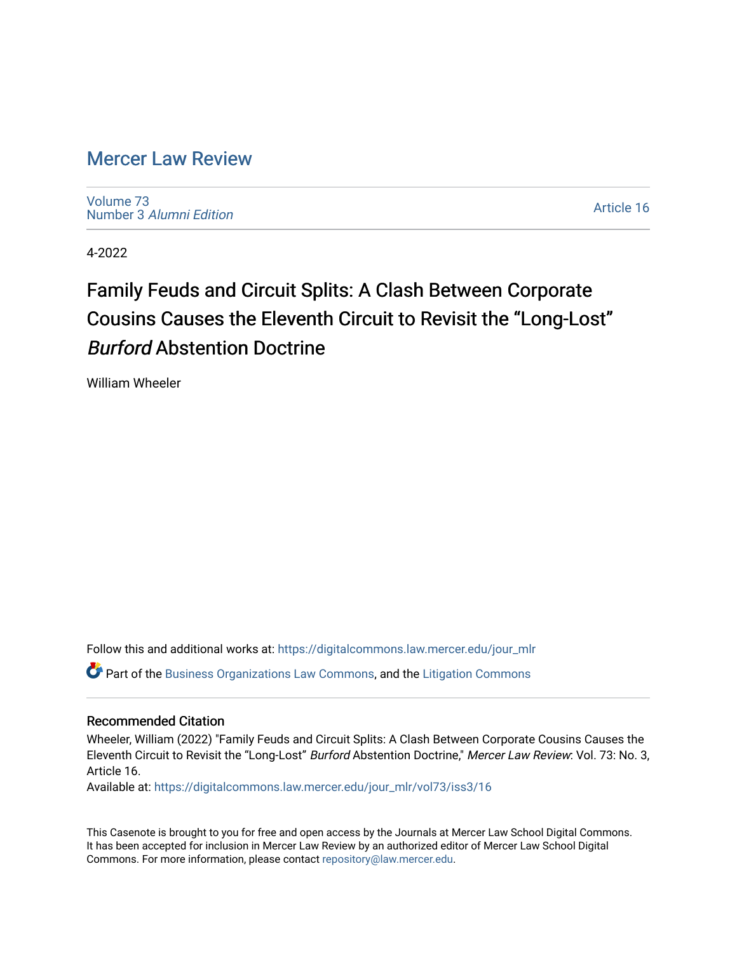## [Mercer Law Review](https://digitalcommons.law.mercer.edu/jour_mlr)

[Volume 73](https://digitalcommons.law.mercer.edu/jour_mlr/vol73) Number 3 [Alumni Edition](https://digitalcommons.law.mercer.edu/jour_mlr/vol73/iss3) 

[Article 16](https://digitalcommons.law.mercer.edu/jour_mlr/vol73/iss3/16) 

4-2022

# Family Feuds and Circuit Splits: A Clash Between Corporate Cousins Causes the Eleventh Circuit to Revisit the "Long-Lost" Burford Abstention Doctrine

William Wheeler

Follow this and additional works at: [https://digitalcommons.law.mercer.edu/jour\\_mlr](https://digitalcommons.law.mercer.edu/jour_mlr?utm_source=digitalcommons.law.mercer.edu%2Fjour_mlr%2Fvol73%2Fiss3%2F16&utm_medium=PDF&utm_campaign=PDFCoverPages) Part of the [Business Organizations Law Commons](http://network.bepress.com/hgg/discipline/900?utm_source=digitalcommons.law.mercer.edu%2Fjour_mlr%2Fvol73%2Fiss3%2F16&utm_medium=PDF&utm_campaign=PDFCoverPages), and the [Litigation Commons](http://network.bepress.com/hgg/discipline/910?utm_source=digitalcommons.law.mercer.edu%2Fjour_mlr%2Fvol73%2Fiss3%2F16&utm_medium=PDF&utm_campaign=PDFCoverPages)

### Recommended Citation

Wheeler, William (2022) "Family Feuds and Circuit Splits: A Clash Between Corporate Cousins Causes the Eleventh Circuit to Revisit the "Long-Lost" Burford Abstention Doctrine," Mercer Law Review: Vol. 73: No. 3, Article 16.

Available at: [https://digitalcommons.law.mercer.edu/jour\\_mlr/vol73/iss3/16](https://digitalcommons.law.mercer.edu/jour_mlr/vol73/iss3/16?utm_source=digitalcommons.law.mercer.edu%2Fjour_mlr%2Fvol73%2Fiss3%2F16&utm_medium=PDF&utm_campaign=PDFCoverPages) 

This Casenote is brought to you for free and open access by the Journals at Mercer Law School Digital Commons. It has been accepted for inclusion in Mercer Law Review by an authorized editor of Mercer Law School Digital Commons. For more information, please contact [repository@law.mercer.edu.](mailto:repository@law.mercer.edu)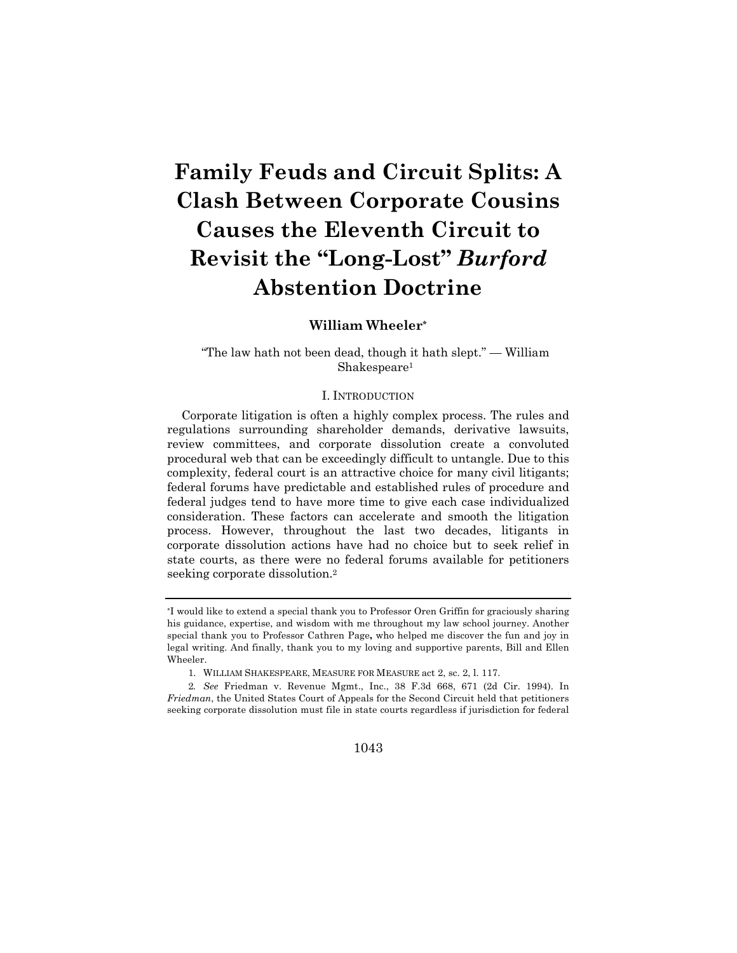# **Family Feuds and Circuit Splits: A Clash Between Corporate Cousins Causes the Eleventh Circuit to Revisit the "Long-Lost"** *Burford* **Abstention Doctrine**

### **William Wheeler\***

"The law hath not been dead, though it hath slept." — William Shakespeare1

#### I. INTRODUCTION

Corporate litigation is often a highly complex process. The rules and regulations surrounding shareholder demands, derivative lawsuits, review committees, and corporate dissolution create a convoluted procedural web that can be exceedingly difficult to untangle. Due to this complexity, federal court is an attractive choice for many civil litigants; federal forums have predictable and established rules of procedure and federal judges tend to have more time to give each case individualized consideration. These factors can accelerate and smooth the litigation process. However, throughout the last two decades, litigants in corporate dissolution actions have had no choice but to seek relief in state courts, as there were no federal forums available for petitioners seeking corporate dissolution.2

1043

<sup>\*</sup>I would like to extend a special thank you to Professor Oren Griffin for graciously sharing his guidance, expertise, and wisdom with me throughout my law school journey. Another special thank you to Professor Cathren Page**,** who helped me discover the fun and joy in legal writing. And finally, thank you to my loving and supportive parents, Bill and Ellen Wheeler.

<sup>1.</sup> WILLIAM SHAKESPEARE, MEASURE FOR MEASURE act 2, sc. 2, l. 117.

<sup>2</sup>*. See* Friedman v. Revenue Mgmt., Inc., 38 F.3d 668, 671 (2d Cir. 1994). In *Friedman*, the United States Court of Appeals for the Second Circuit held that petitioners seeking corporate dissolution must file in state courts regardless if jurisdiction for federal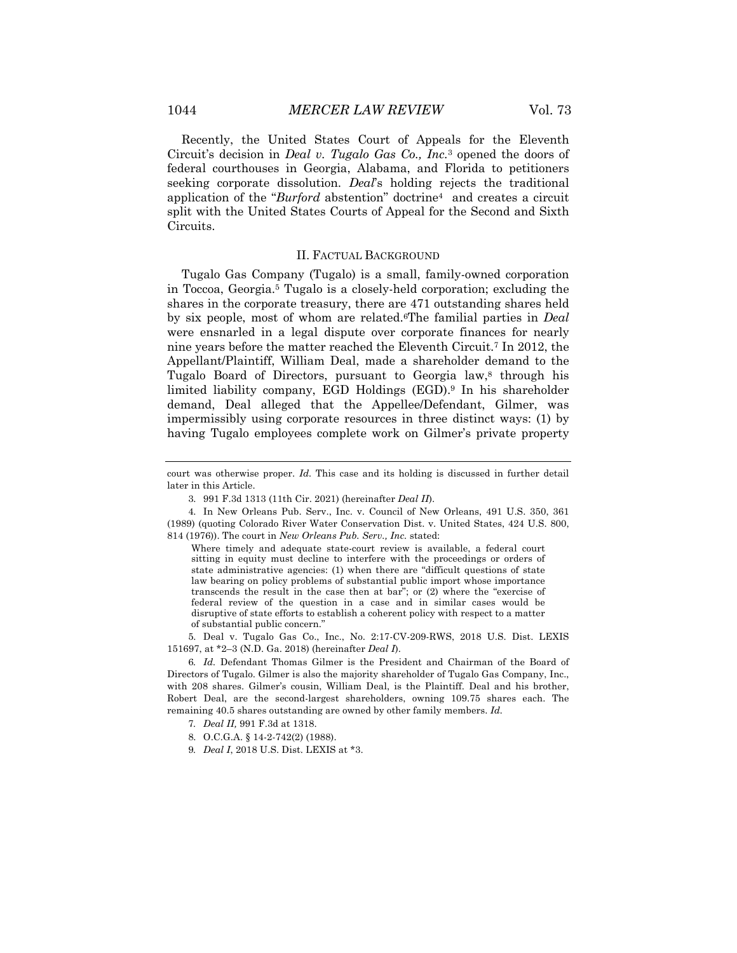Recently, the United States Court of Appeals for the Eleventh Circuit's decision in *Deal v. Tugalo Gas Co., Inc.*<sup>3</sup> opened the doors of federal courthouses in Georgia, Alabama, and Florida to petitioners seeking corporate dissolution. *Deal*'s holding rejects the traditional application of the "*Burford* abstention" doctrine4 and creates a circuit split with the United States Courts of Appeal for the Second and Sixth Circuits.

#### II. FACTUAL BACKGROUND

Tugalo Gas Company (Tugalo) is a small, family-owned corporation in Toccoa, Georgia.5 Tugalo is a closely-held corporation; excluding the shares in the corporate treasury, there are 471 outstanding shares held by six people, most of whom are related.6The familial parties in *Deal*  were ensnarled in a legal dispute over corporate finances for nearly nine years before the matter reached the Eleventh Circuit.7 In 2012, the Appellant/Plaintiff, William Deal, made a shareholder demand to the Tugalo Board of Directors, pursuant to Georgia law,<sup>8</sup> through his limited liability company, EGD Holdings (EGD).9 In his shareholder demand, Deal alleged that the Appellee/Defendant, Gilmer, was impermissibly using corporate resources in three distinct ways: (1) by having Tugalo employees complete work on Gilmer's private property

Where timely and adequate state-court review is available, a federal court sitting in equity must decline to interfere with the proceedings or orders of state administrative agencies: (1) when there are "difficult questions of state law bearing on policy problems of substantial public import whose importance transcends the result in the case then at bar"; or (2) where the "exercise of federal review of the question in a case and in similar cases would be disruptive of state efforts to establish a coherent policy with respect to a matter of substantial public concern."

5. Deal v. Tugalo Gas Co., Inc., No. 2:17-CV-209-RWS, 2018 U.S. Dist. LEXIS 151697, at \*2–3 (N.D. Ga. 2018) (hereinafter *Deal I*).

6*. Id.* Defendant Thomas Gilmer is the President and Chairman of the Board of Directors of Tugalo. Gilmer is also the majority shareholder of Tugalo Gas Company, Inc., with 208 shares. Gilmer's cousin, William Deal, is the Plaintiff. Deal and his brother, Robert Deal, are the second-largest shareholders, owning 109.75 shares each. The remaining 40.5 shares outstanding are owned by other family members. *Id.*

court was otherwise proper. *Id.* This case and its holding is discussed in further detail later in this Article.

<sup>3.</sup> 991 F.3d 1313 (11th Cir. 2021) (hereinafter *Deal II*).

<sup>4.</sup> In New Orleans Pub. Serv., Inc. v. Council of New Orleans, 491 U.S. 350, 361 (1989) (quoting Colorado River Water Conservation Dist. v. United States, 424 U.S. 800, 814 (1976)). The court in *New Orleans Pub. Serv., Inc.* stated:

<sup>7</sup>*. Deal II,* 991 F.3d at 1318.

<sup>8.</sup> O.C.G.A. § 14-2-742(2) (1988).

<sup>9</sup>*. Deal I*, 2018 U.S. Dist. LEXIS at \*3.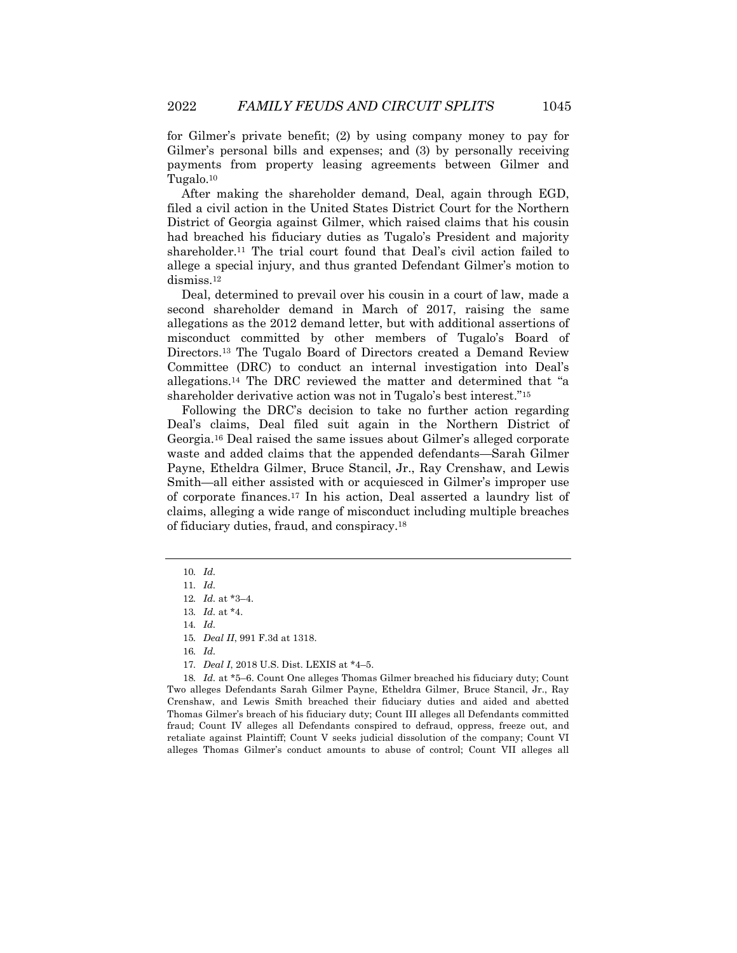for Gilmer's private benefit; (2) by using company money to pay for Gilmer's personal bills and expenses; and (3) by personally receiving payments from property leasing agreements between Gilmer and Tugalo.10

After making the shareholder demand, Deal, again through EGD, filed a civil action in the United States District Court for the Northern District of Georgia against Gilmer, which raised claims that his cousin had breached his fiduciary duties as Tugalo's President and majority shareholder.11 The trial court found that Deal's civil action failed to allege a special injury, and thus granted Defendant Gilmer's motion to dismiss.<sup>12</sup>

Deal, determined to prevail over his cousin in a court of law, made a second shareholder demand in March of 2017, raising the same allegations as the 2012 demand letter, but with additional assertions of misconduct committed by other members of Tugalo's Board of Directors.13 The Tugalo Board of Directors created a Demand Review Committee (DRC) to conduct an internal investigation into Deal's allegations.14 The DRC reviewed the matter and determined that "a shareholder derivative action was not in Tugalo's best interest."15

Following the DRC's decision to take no further action regarding Deal's claims, Deal filed suit again in the Northern District of Georgia.16 Deal raised the same issues about Gilmer's alleged corporate waste and added claims that the appended defendants—Sarah Gilmer Payne, Etheldra Gilmer, Bruce Stancil, Jr., Ray Crenshaw, and Lewis Smith—all either assisted with or acquiesced in Gilmer's improper use of corporate finances.17 In his action, Deal asserted a laundry list of claims, alleging a wide range of misconduct including multiple breaches of fiduciary duties, fraud, and conspiracy.18

18*. Id.* at \*5–6. Count One alleges Thomas Gilmer breached his fiduciary duty; Count Two alleges Defendants Sarah Gilmer Payne, Etheldra Gilmer, Bruce Stancil, Jr., Ray Crenshaw, and Lewis Smith breached their fiduciary duties and aided and abetted Thomas Gilmer's breach of his fiduciary duty; Count III alleges all Defendants committed fraud; Count IV alleges all Defendants conspired to defraud, oppress, freeze out, and retaliate against Plaintiff; Count V seeks judicial dissolution of the company; Count VI alleges Thomas Gilmer's conduct amounts to abuse of control; Count VII alleges all

<sup>10</sup>*. Id.*

<sup>11</sup>*. Id.*

<sup>12</sup>*. Id.* at \*3–4.

<sup>13</sup>*. Id.* at \*4.

<sup>14</sup>*. Id.*

<sup>15</sup>*. Deal II*, 991 F.3d at 1318.

<sup>16</sup>*. Id.*

<sup>17</sup>*. Deal I*, 2018 U.S. Dist. LEXIS at \*4–5.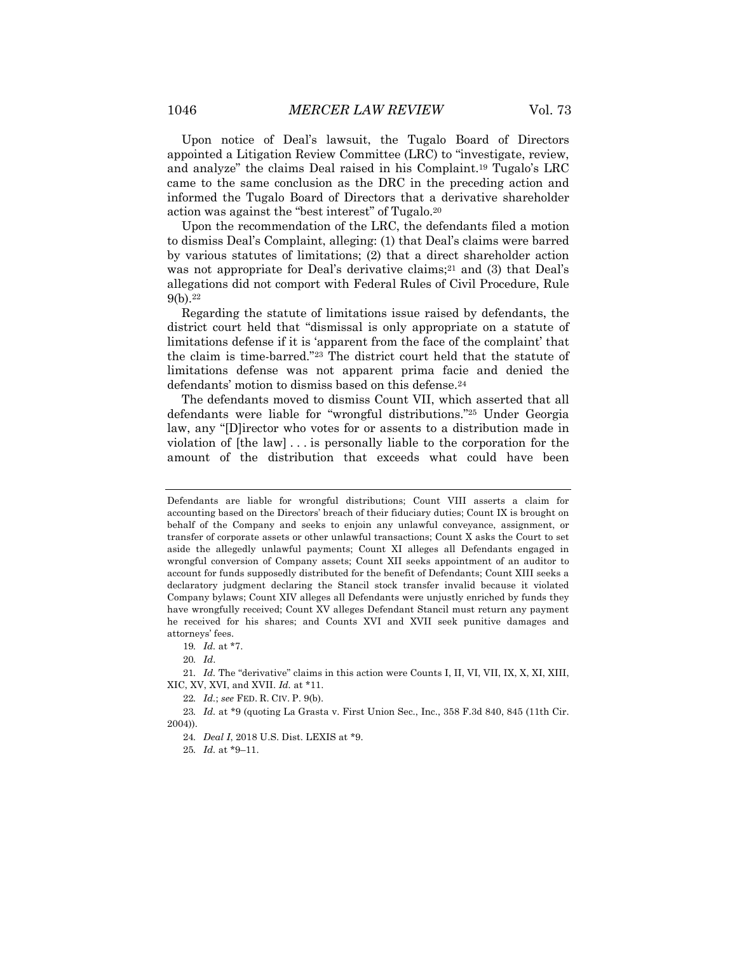Upon notice of Deal's lawsuit, the Tugalo Board of Directors appointed a Litigation Review Committee (LRC) to "investigate, review,

and analyze" the claims Deal raised in his Complaint.19 Tugalo's LRC came to the same conclusion as the DRC in the preceding action and informed the Tugalo Board of Directors that a derivative shareholder action was against the "best interest" of Tugalo.20

Upon the recommendation of the LRC, the defendants filed a motion to dismiss Deal's Complaint, alleging: (1) that Deal's claims were barred by various statutes of limitations; (2) that a direct shareholder action was not appropriate for Deal's derivative claims;<sup>21</sup> and (3) that Deal's allegations did not comport with Federal Rules of Civil Procedure, Rule 9(b).22

Regarding the statute of limitations issue raised by defendants, the district court held that "dismissal is only appropriate on a statute of limitations defense if it is 'apparent from the face of the complaint' that the claim is time-barred."23 The district court held that the statute of limitations defense was not apparent prima facie and denied the defendants' motion to dismiss based on this defense.<sup>24</sup>

The defendants moved to dismiss Count VII, which asserted that all defendants were liable for "wrongful distributions."25 Under Georgia law, any "[D]irector who votes for or assents to a distribution made in violation of [the law] . . . is personally liable to the corporation for the amount of the distribution that exceeds what could have been

20*. Id*.

21*. Id.* The "derivative" claims in this action were Counts I, II, VI, VII, IX, X, XI, XIII, XIC, XV, XVI, and XVII. *Id.* at \*11.

22*. Id.*; *see* FED. R. CIV. P. 9(b).

23*. Id.* at \*9 (quoting La Grasta v. First Union Sec., Inc., 358 F.3d 840, 845 (11th Cir. 2004)).

24*. Deal I*, 2018 U.S. Dist. LEXIS at \*9.

25*. Id.* at \*9–11.

Defendants are liable for wrongful distributions; Count VIII asserts a claim for accounting based on the Directors' breach of their fiduciary duties; Count IX is brought on behalf of the Company and seeks to enjoin any unlawful conveyance, assignment, or transfer of corporate assets or other unlawful transactions; Count X asks the Court to set aside the allegedly unlawful payments; Count XI alleges all Defendants engaged in wrongful conversion of Company assets; Count XII seeks appointment of an auditor to account for funds supposedly distributed for the benefit of Defendants; Count XIII seeks a declaratory judgment declaring the Stancil stock transfer invalid because it violated Company bylaws; Count XIV alleges all Defendants were unjustly enriched by funds they have wrongfully received; Count XV alleges Defendant Stancil must return any payment he received for his shares; and Counts XVI and XVII seek punitive damages and attorneys' fees.

<sup>19</sup>*. Id.* at \*7.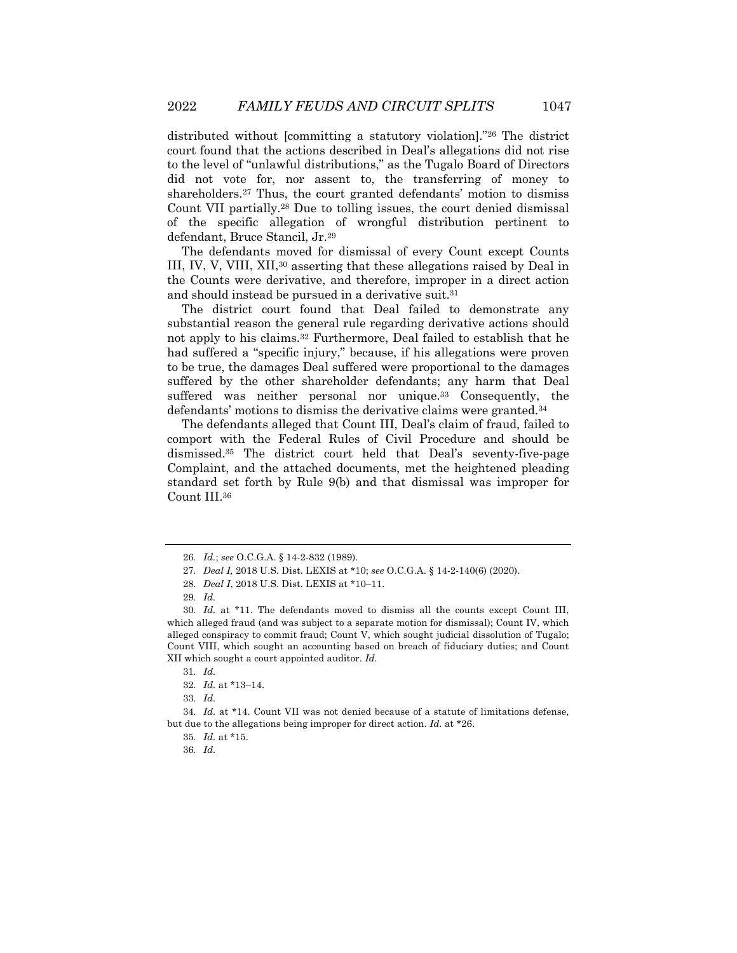distributed without [committing a statutory violation]."26 The district court found that the actions described in Deal's allegations did not rise to the level of "unlawful distributions," as the Tugalo Board of Directors did not vote for, nor assent to, the transferring of money to shareholders.27 Thus, the court granted defendants' motion to dismiss Count VII partially.28 Due to tolling issues, the court denied dismissal of the specific allegation of wrongful distribution pertinent to defendant, Bruce Stancil, Jr.29

The defendants moved for dismissal of every Count except Counts III, IV, V, VIII, XII,30 asserting that these allegations raised by Deal in the Counts were derivative, and therefore, improper in a direct action and should instead be pursued in a derivative suit.31

The district court found that Deal failed to demonstrate any substantial reason the general rule regarding derivative actions should not apply to his claims.32 Furthermore, Deal failed to establish that he had suffered a "specific injury," because, if his allegations were proven to be true, the damages Deal suffered were proportional to the damages suffered by the other shareholder defendants; any harm that Deal suffered was neither personal nor unique.<sup>33</sup> Consequently, the defendants' motions to dismiss the derivative claims were granted.34

The defendants alleged that Count III, Deal's claim of fraud, failed to comport with the Federal Rules of Civil Procedure and should be dismissed.35 The district court held that Deal's seventy-five-page Complaint, and the attached documents, met the heightened pleading standard set forth by Rule 9(b) and that dismissal was improper for Count III.36

<sup>26</sup>*. Id.*; *see* O.C.G.A. § 14-2-832 (1989).

<sup>27</sup>*. Deal I,* 2018 U.S. Dist. LEXIS at \*10; *see* O.C.G.A. § 14-2-140(6) (2020).

<sup>28</sup>*. Deal I*, 2018 U.S. Dist. LEXIS at \*10–11.

<sup>29</sup>*. Id.*

<sup>30</sup>*. Id.* at \*11. The defendants moved to dismiss all the counts except Count III, which alleged fraud (and was subject to a separate motion for dismissal); Count IV, which alleged conspiracy to commit fraud; Count V, which sought judicial dissolution of Tugalo; Count VIII, which sought an accounting based on breach of fiduciary duties; and Count XII which sought a court appointed auditor. *Id.*

<sup>31</sup>*. Id.*

<sup>32</sup>*. Id.* at \*13–14.

<sup>33</sup>*. Id.*

<sup>34</sup>*. Id.* at \*14. Count VII was not denied because of a statute of limitations defense, but due to the allegations being improper for direct action. *Id.* at \*26.

<sup>35</sup>*. Id.* at \*15.

<sup>36</sup>*. Id.*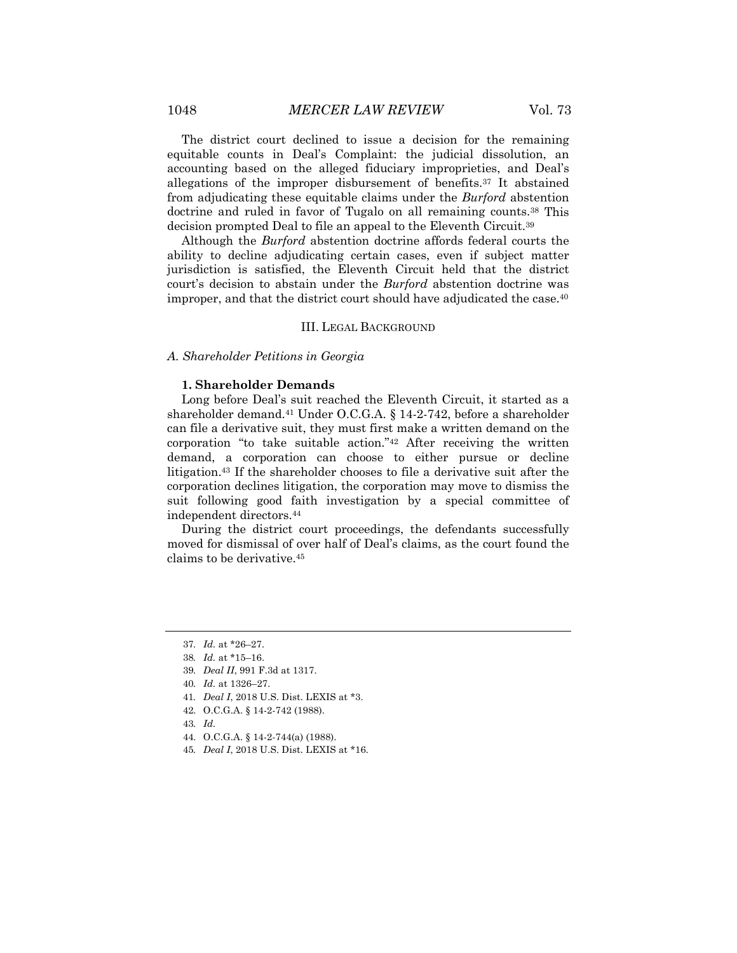The district court declined to issue a decision for the remaining equitable counts in Deal's Complaint: the judicial dissolution, an accounting based on the alleged fiduciary improprieties, and Deal's allegations of the improper disbursement of benefits.37 It abstained from adjudicating these equitable claims under the *Burford* abstention doctrine and ruled in favor of Tugalo on all remaining counts.<sup>38</sup> This decision prompted Deal to file an appeal to the Eleventh Circuit.39

Although the *Burford* abstention doctrine affords federal courts the ability to decline adjudicating certain cases, even if subject matter jurisdiction is satisfied, the Eleventh Circuit held that the district court's decision to abstain under the *Burford* abstention doctrine was improper, and that the district court should have adjudicated the case.<sup>40</sup>

#### III. LEGAL BACKGROUND

*A. Shareholder Petitions in Georgia*

#### **1. Shareholder Demands**

Long before Deal's suit reached the Eleventh Circuit, it started as a shareholder demand.41 Under O.C.G.A. § 14-2-742, before a shareholder can file a derivative suit, they must first make a written demand on the corporation "to take suitable action."42 After receiving the written demand, a corporation can choose to either pursue or decline litigation.43 If the shareholder chooses to file a derivative suit after the corporation declines litigation, the corporation may move to dismiss the suit following good faith investigation by a special committee of independent directors.44

During the district court proceedings, the defendants successfully moved for dismissal of over half of Deal's claims, as the court found the claims to be derivative.45

- 43*. Id.*
- 44. O.C.G.A. § 14-2-744(a) (1988).
- 45*. Deal I*, 2018 U.S. Dist. LEXIS at \*16.

<sup>37</sup>*. Id.* at \*26–27.

<sup>38</sup>*. Id.* at \*15–16.

<sup>39</sup>*. Deal II*, 991 F.3d at 1317.

<sup>40</sup>*. Id.* at 1326–27.

<sup>41</sup>*. Deal I*, 2018 U.S. Dist. LEXIS at \*3.

<sup>42.</sup> O.C.G.A. § 14-2-742 (1988).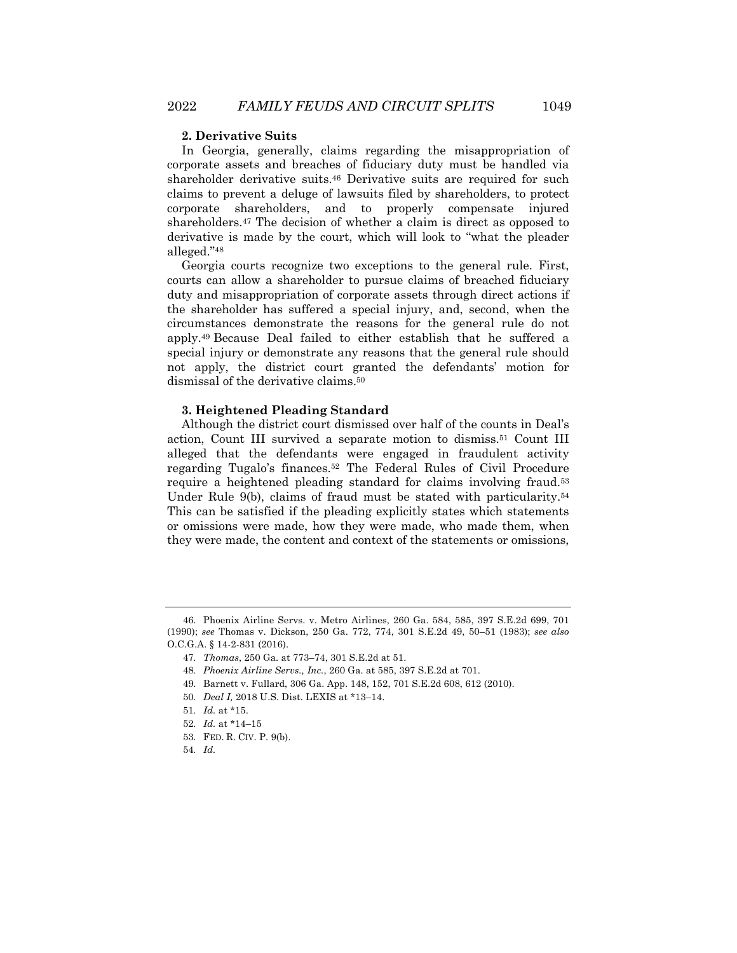#### **2. Derivative Suits**

In Georgia, generally, claims regarding the misappropriation of corporate assets and breaches of fiduciary duty must be handled via shareholder derivative suits.46 Derivative suits are required for such claims to prevent a deluge of lawsuits filed by shareholders, to protect corporate shareholders, and to properly compensate injured shareholders.47 The decision of whether a claim is direct as opposed to derivative is made by the court, which will look to "what the pleader alleged."48

Georgia courts recognize two exceptions to the general rule. First, courts can allow a shareholder to pursue claims of breached fiduciary duty and misappropriation of corporate assets through direct actions if the shareholder has suffered a special injury, and, second, when the circumstances demonstrate the reasons for the general rule do not apply.49 Because Deal failed to either establish that he suffered a special injury or demonstrate any reasons that the general rule should not apply, the district court granted the defendants' motion for dismissal of the derivative claims.50

#### **3. Heightened Pleading Standard**

Although the district court dismissed over half of the counts in Deal's action, Count III survived a separate motion to dismiss.51 Count III alleged that the defendants were engaged in fraudulent activity regarding Tugalo's finances.52 The Federal Rules of Civil Procedure require a heightened pleading standard for claims involving fraud.53 Under Rule 9(b), claims of fraud must be stated with particularity.54 This can be satisfied if the pleading explicitly states which statements or omissions were made, how they were made, who made them, when they were made, the content and context of the statements or omissions,

<sup>46.</sup> Phoenix Airline Servs. v. Metro Airlines, 260 Ga. 584, 585, 397 S.E.2d 699, 701 (1990); *see* Thomas v. Dickson, 250 Ga. 772, 774, 301 S.E.2d 49, 50–51 (1983); *see also* O.C.G.A. § 14-2-831 (2016).

<sup>47</sup>*. Thomas*, 250 Ga. at 773–74, 301 S.E.2d at 51.

<sup>48</sup>*. Phoenix Airline Servs., Inc.*, 260 Ga. at 585, 397 S.E.2d at 701.

<sup>49.</sup> Barnett v. Fullard, 306 Ga. App. 148, 152, 701 S.E.2d 608, 612 (2010).

<sup>50</sup>*. Deal I,* 2018 U.S. Dist. LEXIS at \*13–14.

<sup>51</sup>*. Id.* at \*15.

<sup>52</sup>*. Id.* at \*14–15

<sup>53.</sup> FED. R. CIV. P. 9(b).

<sup>54</sup>*. Id.*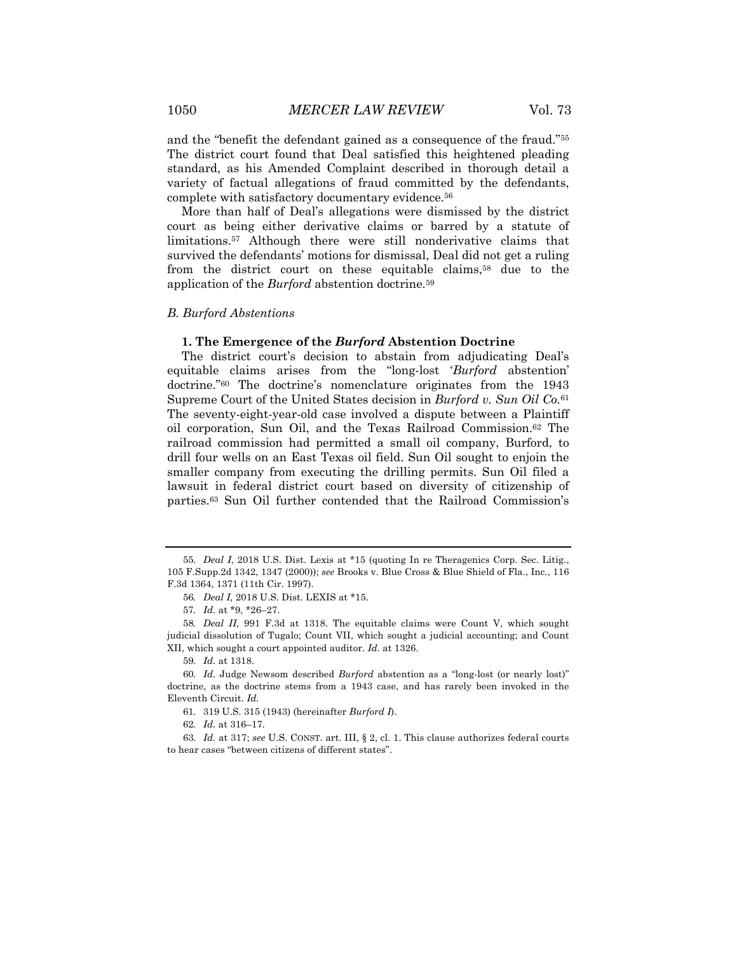and the "benefit the defendant gained as a consequence of the fraud."55 The district court found that Deal satisfied this heightened pleading standard, as his Amended Complaint described in thorough detail a variety of factual allegations of fraud committed by the defendants, complete with satisfactory documentary evidence.56

More than half of Deal's allegations were dismissed by the district court as being either derivative claims or barred by a statute of limitations.57 Although there were still nonderivative claims that survived the defendants' motions for dismissal, Deal did not get a ruling from the district court on these equitable claims,58 due to the application of the *Burford* abstention doctrine.59

#### *B. Burford Abstentions*

#### **1. The Emergence of the** *Burford* **Abstention Doctrine**

The district court's decision to abstain from adjudicating Deal's equitable claims arises from the "long-lost '*Burford* abstention' doctrine."60 The doctrine's nomenclature originates from the 1943 Supreme Court of the United States decision in *Burford v. Sun Oil Co.*<sup>61</sup> The seventy-eight-year-old case involved a dispute between a Plaintiff oil corporation, Sun Oil, and the Texas Railroad Commission.62 The railroad commission had permitted a small oil company, Burford, to drill four wells on an East Texas oil field. Sun Oil sought to enjoin the smaller company from executing the drilling permits. Sun Oil filed a lawsuit in federal district court based on diversity of citizenship of parties.63 Sun Oil further contended that the Railroad Commission's

59*. Id.* at 1318.

62*. Id.* at 316–17.

63*. Id.* at 317; *see* U.S. CONST. art. III, § 2, cl. 1. This clause authorizes federal courts to hear cases "between citizens of different states".

<sup>55</sup>*. Deal I*, 2018 U.S. Dist. Lexis at \*15 (quoting In re Theragenics Corp. Sec. Litig*.*, 105 F.Supp.2d 1342, 1347 (2000)); *see* Brooks v. Blue Cross & Blue Shield of Fla., Inc*.*, 116 F.3d 1364, 1371 (11th Cir. 1997).

<sup>56</sup>*. Deal I,* 2018 U.S. Dist. LEXIS at \*15.

<sup>57</sup>*. Id.* at \*9, \*26–27.

<sup>58</sup>*. Deal II,* 991 F.3d at 1318. The equitable claims were Count V, which sought judicial dissolution of Tugalo; Count VII, which sought a judicial accounting; and Count XII, which sought a court appointed auditor. *Id.* at 1326.

<sup>60</sup>*. Id.* Judge Newsom described *Burford* abstention as a "long-lost (or nearly lost)" doctrine, as the doctrine stems from a 1943 case, and has rarely been invoked in the Eleventh Circuit. *Id.*

<sup>61.</sup> 319 U.S. 315 (1943) (hereinafter *Burford I*).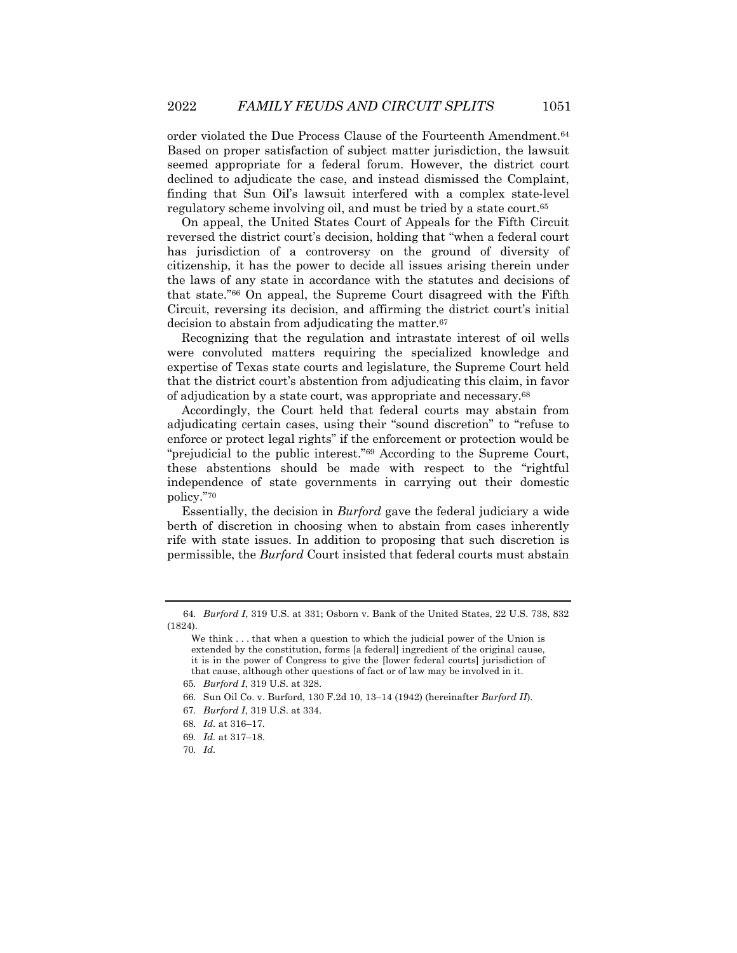order violated the Due Process Clause of the Fourteenth Amendment.64 Based on proper satisfaction of subject matter jurisdiction, the lawsuit seemed appropriate for a federal forum. However, the district court declined to adjudicate the case, and instead dismissed the Complaint, finding that Sun Oil's lawsuit interfered with a complex state-level regulatory scheme involving oil, and must be tried by a state court.65

On appeal, the United States Court of Appeals for the Fifth Circuit reversed the district court's decision, holding that "when a federal court has jurisdiction of a controversy on the ground of diversity of citizenship, it has the power to decide all issues arising therein under the laws of any state in accordance with the statutes and decisions of that state."66 On appeal, the Supreme Court disagreed with the Fifth Circuit, reversing its decision, and affirming the district court's initial decision to abstain from adjudicating the matter.67

Recognizing that the regulation and intrastate interest of oil wells were convoluted matters requiring the specialized knowledge and expertise of Texas state courts and legislature, the Supreme Court held that the district court's abstention from adjudicating this claim, in favor of adjudication by a state court, was appropriate and necessary.68

Accordingly, the Court held that federal courts may abstain from adjudicating certain cases, using their "sound discretion" to "refuse to enforce or protect legal rights" if the enforcement or protection would be "prejudicial to the public interest."69 According to the Supreme Court, these abstentions should be made with respect to the "rightful independence of state governments in carrying out their domestic policy."70

Essentially, the decision in *Burford* gave the federal judiciary a wide berth of discretion in choosing when to abstain from cases inherently rife with state issues. In addition to proposing that such discretion is permissible, the *Burford* Court insisted that federal courts must abstain

<sup>64</sup>*. Burford I*, 319 U.S. at 331; Osborn v. Bank of the United States, 22 U.S. 738, 832 (1824).

We think . . . that when a question to which the judicial power of the Union is extended by the constitution, forms [a federal] ingredient of the original cause, it is in the power of Congress to give the [lower federal courts] jurisdiction of that cause, although other questions of fact or of law may be involved in it.

<sup>65</sup>*. Burford I*, 319 U.S. at 328.

<sup>66.</sup> Sun Oil Co. v. Burford*,* 130 F.2d 10, 13–14 (1942) (hereinafter *Burford II*).

<sup>67</sup>*. Burford I*, 319 U.S. at 334.

<sup>68</sup>*. Id.* at 316–17.

<sup>69</sup>*. Id.* at 317–18.

<sup>70</sup>*. Id.*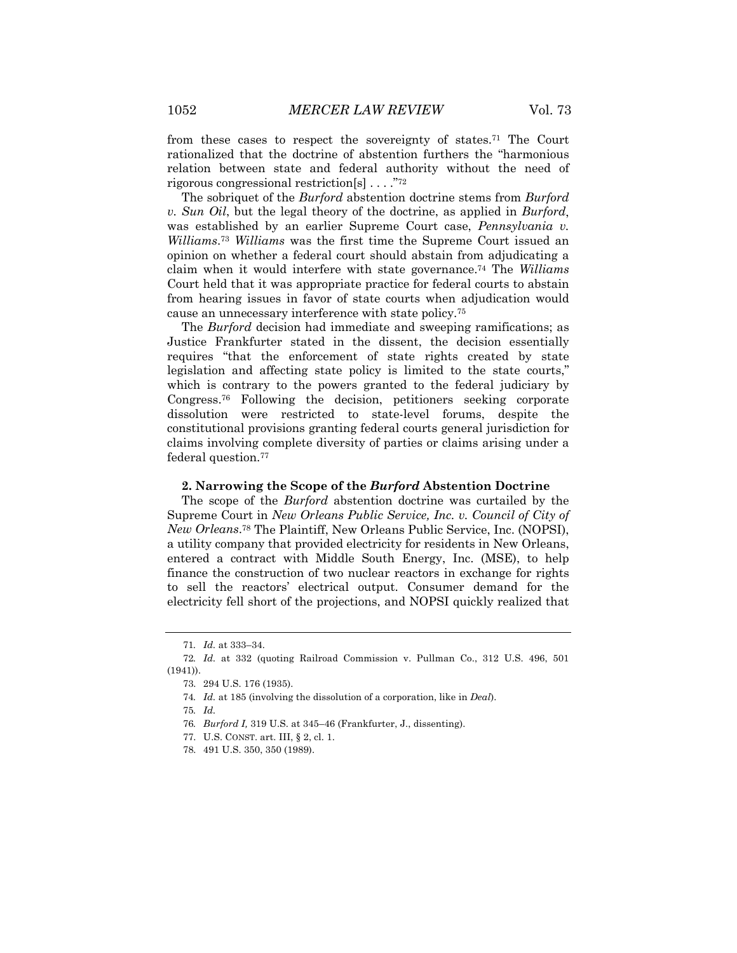from these cases to respect the sovereignty of states.71 The Court rationalized that the doctrine of abstention furthers the "harmonious relation between state and federal authority without the need of rigorous congressional restriction[s] . . . ."72

The sobriquet of the *Burford* abstention doctrine stems from *Burford v. Sun Oil*, but the legal theory of the doctrine, as applied in *Burford*, was established by an earlier Supreme Court case, *Pennsylvania v. Williams*.73 *Williams* was the first time the Supreme Court issued an opinion on whether a federal court should abstain from adjudicating a claim when it would interfere with state governance.74 The *Williams* Court held that it was appropriate practice for federal courts to abstain from hearing issues in favor of state courts when adjudication would cause an unnecessary interference with state policy.75

The *Burford* decision had immediate and sweeping ramifications; as Justice Frankfurter stated in the dissent, the decision essentially requires "that the enforcement of state rights created by state legislation and affecting state policy is limited to the state courts," which is contrary to the powers granted to the federal judiciary by Congress.76 Following the decision, petitioners seeking corporate dissolution were restricted to state-level forums, despite the constitutional provisions granting federal courts general jurisdiction for claims involving complete diversity of parties or claims arising under a federal question.77

#### **2. Narrowing the Scope of the** *Burford* **Abstention Doctrine**

The scope of the *Burford* abstention doctrine was curtailed by the Supreme Court in *New Orleans Public Service, Inc. v. Council of City of New Orleans*.78 The Plaintiff, New Orleans Public Service, Inc. (NOPSI), a utility company that provided electricity for residents in New Orleans, entered a contract with Middle South Energy, Inc. (MSE), to help finance the construction of two nuclear reactors in exchange for rights to sell the reactors' electrical output. Consumer demand for the electricity fell short of the projections, and NOPSI quickly realized that

<sup>71</sup>*. Id.* at 333–34.

<sup>72</sup>*. Id.* at 332 (quoting Railroad Commission v. Pullman Co., 312 U.S. 496, 501 (1941)).

<sup>73.</sup> 294 U.S. 176 (1935).

<sup>74</sup>*. Id.* at 185 (involving the dissolution of a corporation, like in *Deal*).

<sup>75</sup>*. Id.*

<sup>76</sup>*. Burford I,* 319 U.S. at 345–46 (Frankfurter, J., dissenting).

<sup>77.</sup> U.S. CONST. art. III, § 2, cl. 1.

<sup>78.</sup> 491 U.S. 350, 350 (1989).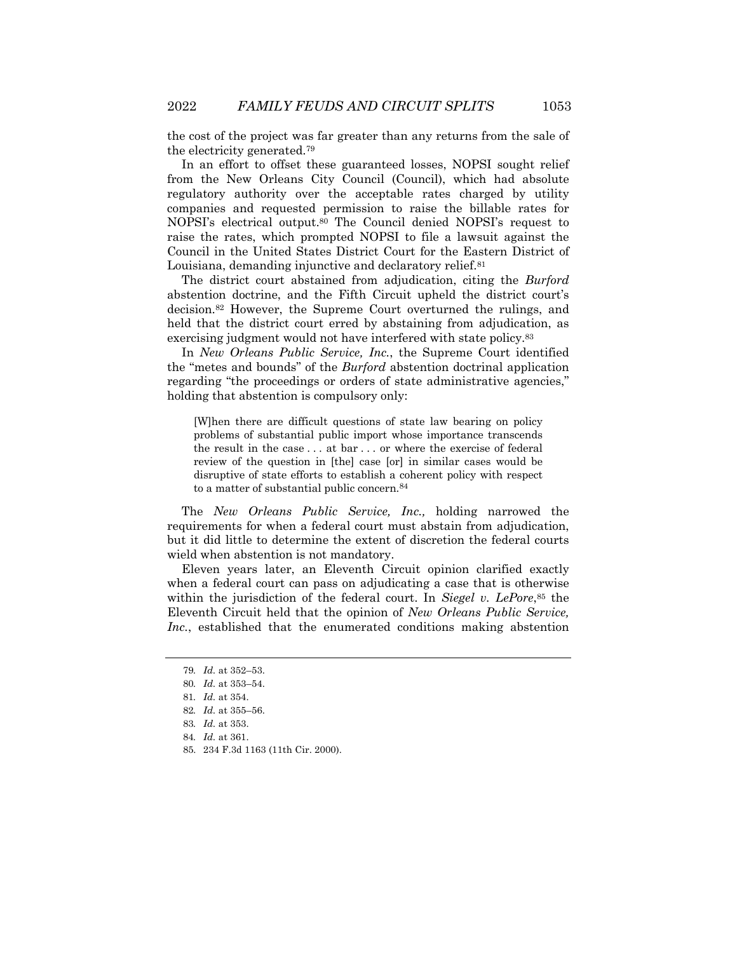the cost of the project was far greater than any returns from the sale of the electricity generated.79

In an effort to offset these guaranteed losses, NOPSI sought relief from the New Orleans City Council (Council), which had absolute regulatory authority over the acceptable rates charged by utility companies and requested permission to raise the billable rates for NOPSI's electrical output.80 The Council denied NOPSI's request to raise the rates, which prompted NOPSI to file a lawsuit against the Council in the United States District Court for the Eastern District of Louisiana, demanding injunctive and declaratory relief.81

The district court abstained from adjudication, citing the *Burford* abstention doctrine, and the Fifth Circuit upheld the district court's decision.82 However, the Supreme Court overturned the rulings, and held that the district court erred by abstaining from adjudication, as exercising judgment would not have interfered with state policy.83

In *New Orleans Public Service, Inc.*, the Supreme Court identified the "metes and bounds" of the *Burford* abstention doctrinal application regarding "the proceedings or orders of state administrative agencies," holding that abstention is compulsory only:

[W]hen there are difficult questions of state law bearing on policy problems of substantial public import whose importance transcends the result in the case . . . at bar . . . or where the exercise of federal review of the question in [the] case [or] in similar cases would be disruptive of state efforts to establish a coherent policy with respect to a matter of substantial public concern.84

The *New Orleans Public Service, Inc.,* holding narrowed the requirements for when a federal court must abstain from adjudication, but it did little to determine the extent of discretion the federal courts wield when abstention is not mandatory.

Eleven years later, an Eleventh Circuit opinion clarified exactly when a federal court can pass on adjudicating a case that is otherwise within the jurisdiction of the federal court. In *Siegel v. LePore*,85 the Eleventh Circuit held that the opinion of *New Orleans Public Service, Inc.*, established that the enumerated conditions making abstention

<sup>79</sup>*. Id.* at 352–53.

<sup>80</sup>*. Id.* at 353–54.

<sup>81</sup>*. Id.* at 354.

<sup>82</sup>*. Id.* at 355–56.

<sup>83</sup>*. Id.* at 353.

<sup>84</sup>*. Id.* at 361.

<sup>85.</sup> 234 F.3d 1163 (11th Cir. 2000).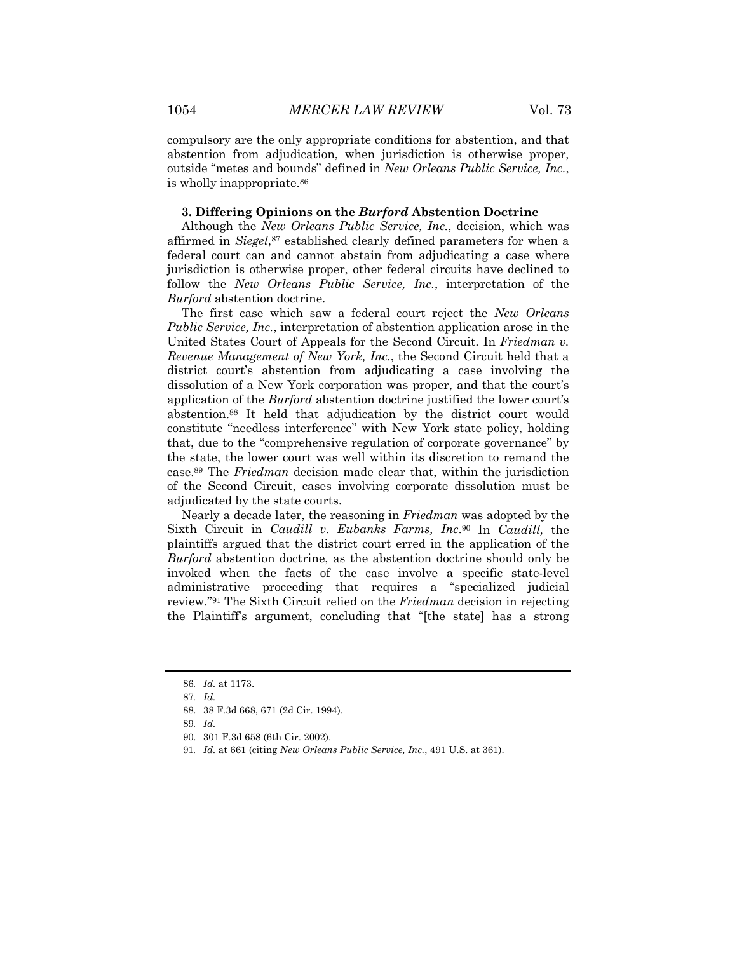compulsory are the only appropriate conditions for abstention, and that abstention from adjudication, when jurisdiction is otherwise proper, outside "metes and bounds" defined in *New Orleans Public Service, Inc.*, is wholly inappropriate.86

#### **3. Differing Opinions on the** *Burford* **Abstention Doctrine**

Although the *New Orleans Public Service, Inc.*, decision, which was affirmed in *Siegel*,87 established clearly defined parameters for when a federal court can and cannot abstain from adjudicating a case where jurisdiction is otherwise proper, other federal circuits have declined to follow the *New Orleans Public Service, Inc.*, interpretation of the *Burford* abstention doctrine.

The first case which saw a federal court reject the *New Orleans Public Service, Inc.*, interpretation of abstention application arose in the United States Court of Appeals for the Second Circuit. In *Friedman v. Revenue Management of New York, Inc.*, the Second Circuit held that a district court's abstention from adjudicating a case involving the dissolution of a New York corporation was proper, and that the court's application of the *Burford* abstention doctrine justified the lower court's abstention.88 It held that adjudication by the district court would constitute "needless interference" with New York state policy, holding that, due to the "comprehensive regulation of corporate governance" by the state, the lower court was well within its discretion to remand the case.89 The *Friedman* decision made clear that, within the jurisdiction of the Second Circuit, cases involving corporate dissolution must be adjudicated by the state courts.

Nearly a decade later, the reasoning in *Friedman* was adopted by the Sixth Circuit in *Caudill v. Eubanks Farms, Inc*.90 In *Caudill,* the plaintiffs argued that the district court erred in the application of the *Burford* abstention doctrine, as the abstention doctrine should only be invoked when the facts of the case involve a specific state-level administrative proceeding that requires a "specialized judicial review."91 The Sixth Circuit relied on the *Friedman* decision in rejecting the Plaintiff's argument, concluding that "[the state] has a strong

<sup>86</sup>*. Id.* at 1173.

<sup>87</sup>*. Id.*

<sup>88.</sup> 38 F.3d 668, 671 (2d Cir. 1994).

<sup>89</sup>*. Id.*

<sup>90.</sup> 301 F.3d 658 (6th Cir. 2002).

<sup>91</sup>*. Id.* at 661 (citing *New Orleans Public Service, Inc.*, 491 U.S. at 361).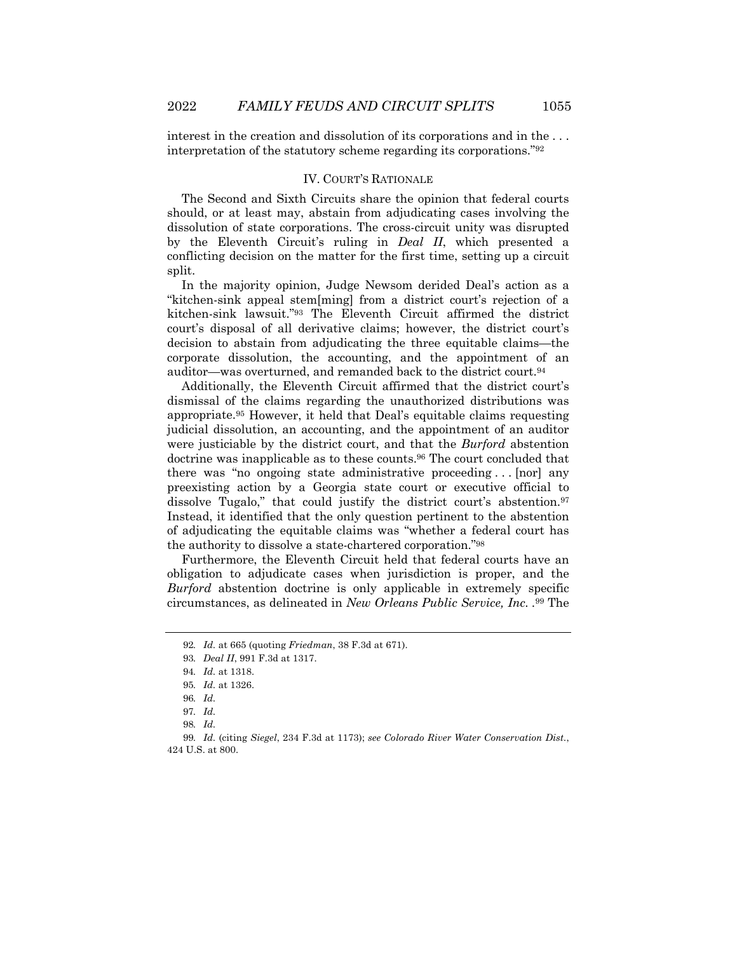interest in the creation and dissolution of its corporations and in the . . . interpretation of the statutory scheme regarding its corporations."92

#### IV. COURT'S RATIONALE

The Second and Sixth Circuits share the opinion that federal courts should, or at least may, abstain from adjudicating cases involving the dissolution of state corporations. The cross-circuit unity was disrupted by the Eleventh Circuit's ruling in *Deal II*, which presented a conflicting decision on the matter for the first time, setting up a circuit split.

In the majority opinion, Judge Newsom derided Deal's action as a "kitchen-sink appeal stem[ming] from a district court's rejection of a kitchen-sink lawsuit."93 The Eleventh Circuit affirmed the district court's disposal of all derivative claims; however, the district court's decision to abstain from adjudicating the three equitable claims—the corporate dissolution, the accounting, and the appointment of an auditor—was overturned, and remanded back to the district court.94

Additionally, the Eleventh Circuit affirmed that the district court's dismissal of the claims regarding the unauthorized distributions was appropriate.95 However, it held that Deal's equitable claims requesting judicial dissolution, an accounting, and the appointment of an auditor were justiciable by the district court, and that the *Burford* abstention doctrine was inapplicable as to these counts.96 The court concluded that there was "no ongoing state administrative proceeding . . . [nor] any preexisting action by a Georgia state court or executive official to dissolve Tugalo," that could justify the district court's abstention.<sup>97</sup> Instead, it identified that the only question pertinent to the abstention of adjudicating the equitable claims was "whether a federal court has the authority to dissolve a state-chartered corporation."98

Furthermore, the Eleventh Circuit held that federal courts have an obligation to adjudicate cases when jurisdiction is proper, and the *Burford* abstention doctrine is only applicable in extremely specific circumstances, as delineated in *New Orleans Public Service, Inc. .*<sup>99</sup> The

<sup>92</sup>*. Id.* at 665 (quoting *Friedman*, 38 F.3d at 671).

<sup>93</sup>*. Deal II*, 991 F.3d at 1317.

<sup>94</sup>*. Id.* at 1318.

<sup>95</sup>*. Id.* at 1326.

<sup>96</sup>*. Id.*

<sup>97</sup>*. Id.*

<sup>98</sup>*. Id.*

<sup>99</sup>*. Id.* (citing *Siegel*, 234 F.3d at 1173); *see Colorado River Water Conservation Dist.*, 424 U.S. at 800.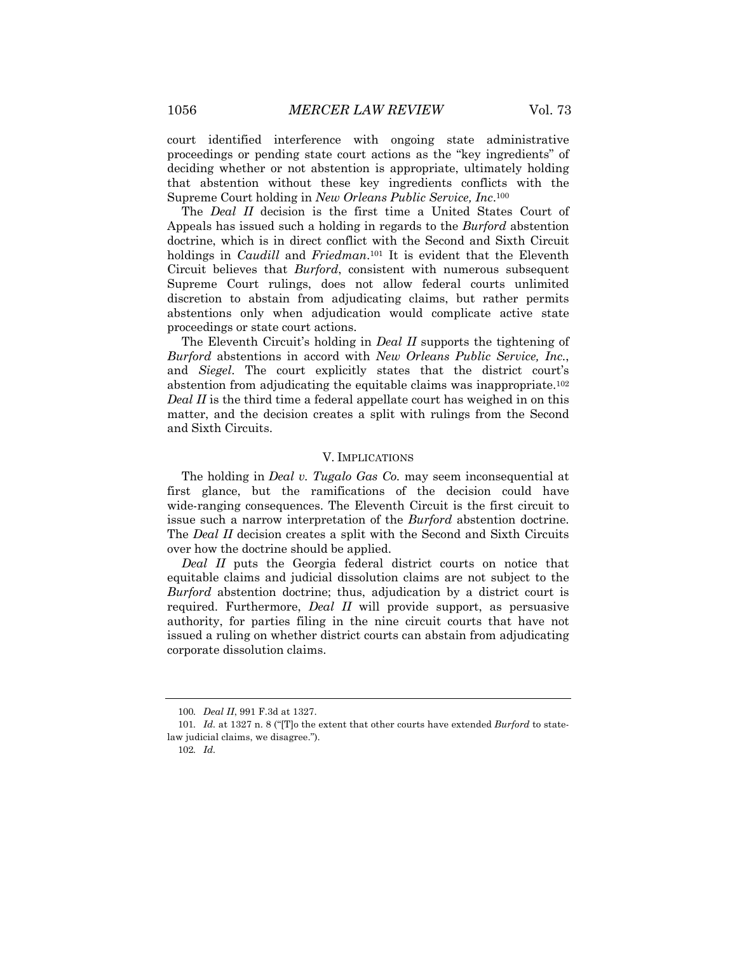court identified interference with ongoing state administrative proceedings or pending state court actions as the "key ingredients" of deciding whether or not abstention is appropriate, ultimately holding that abstention without these key ingredients conflicts with the Supreme Court holding in *New Orleans Public Service, Inc*.100

The *Deal II* decision is the first time a United States Court of Appeals has issued such a holding in regards to the *Burford* abstention doctrine, which is in direct conflict with the Second and Sixth Circuit holdings in *Caudill* and *Friedman*.101 It is evident that the Eleventh Circuit believes that *Burford*, consistent with numerous subsequent Supreme Court rulings, does not allow federal courts unlimited discretion to abstain from adjudicating claims, but rather permits abstentions only when adjudication would complicate active state proceedings or state court actions.

The Eleventh Circuit's holding in *Deal II* supports the tightening of *Burford* abstentions in accord with *New Orleans Public Service, Inc.*, and *Siegel*. The court explicitly states that the district court's abstention from adjudicating the equitable claims was inappropriate.102 *Deal II* is the third time a federal appellate court has weighed in on this matter, and the decision creates a split with rulings from the Second and Sixth Circuits.

#### V. IMPLICATIONS

The holding in *Deal v. Tugalo Gas Co.* may seem inconsequential at first glance, but the ramifications of the decision could have wide-ranging consequences. The Eleventh Circuit is the first circuit to issue such a narrow interpretation of the *Burford* abstention doctrine. The *Deal II* decision creates a split with the Second and Sixth Circuits over how the doctrine should be applied.

*Deal II* puts the Georgia federal district courts on notice that equitable claims and judicial dissolution claims are not subject to the *Burford* abstention doctrine; thus, adjudication by a district court is required. Furthermore, *Deal II* will provide support, as persuasive authority, for parties filing in the nine circuit courts that have not issued a ruling on whether district courts can abstain from adjudicating corporate dissolution claims.

<sup>100</sup>*. Deal II*, 991 F.3d at 1327.

<sup>101</sup>*. Id.* at 1327 n. 8 ("[T]o the extent that other courts have extended *Burford* to statelaw judicial claims, we disagree.").

<sup>102</sup>*. Id.*